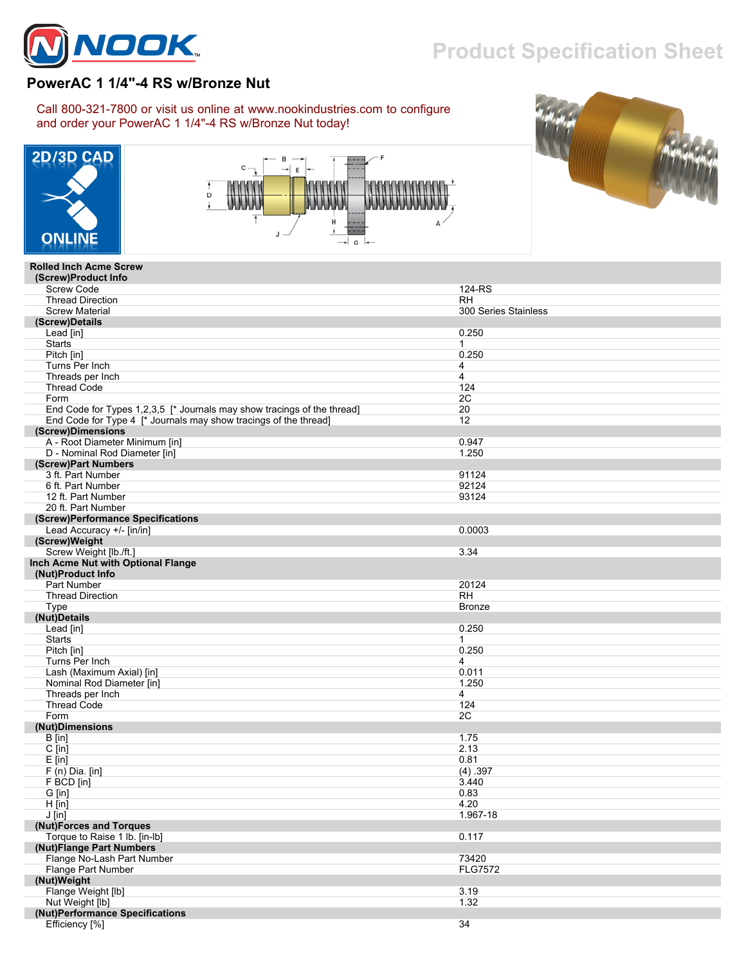

## **Product Specification Sheet**

## **PowerAC 1 1/4"-4 RS w/Bronze Nut**

Call 800-321-7800 or visit us online at www.nookindustries.com to configure and order your PowerAC 1 1/4"-4 RS w/Bronze Nut today!







## **Rolled Inch Acme Screw (Screw)Product Info**

| <b>Screw Code</b>                                                       | 124-RS               |
|-------------------------------------------------------------------------|----------------------|
| <b>Thread Direction</b>                                                 | RH                   |
| <b>Screw Material</b>                                                   | 300 Series Stainless |
| (Screw)Details                                                          |                      |
| Lead [in]                                                               | 0.250                |
| <b>Starts</b>                                                           | 1                    |
| Pitch [in]                                                              | 0.250                |
| Turns Per Inch                                                          | 4                    |
| Threads per Inch                                                        | 4                    |
| <b>Thread Code</b>                                                      | 124                  |
| Form                                                                    | 2C                   |
| End Code for Types 1,2,3,5 [* Journals may show tracings of the thread] | 20                   |
| End Code for Type 4 [* Journals may show tracings of the thread]        | 12                   |
| (Screw)Dimensions                                                       |                      |
| A - Root Diameter Minimum [in]                                          | 0.947                |
| D - Nominal Rod Diameter [in]                                           | 1.250                |
| (Screw)Part Numbers                                                     |                      |
| 3 ft. Part Number                                                       | 91124                |
| 6 ft. Part Number                                                       | 92124                |
| 12 ft. Part Number                                                      | 93124                |
| 20 ft. Part Number                                                      |                      |
|                                                                         |                      |
| (Screw)Performance Specifications                                       | 0.0003               |
| Lead Accuracy +/- [in/in]                                               |                      |
| (Screw)Weight                                                           |                      |
| Screw Weight [lb./ft.]                                                  | 3.34                 |
| Inch Acme Nut with Optional Flange                                      |                      |
| (Nut)Product Info                                                       |                      |
| <b>Part Number</b>                                                      | 20124                |
| <b>Thread Direction</b>                                                 | <b>RH</b>            |
| Type                                                                    | <b>Bronze</b>        |
| (Nut)Details                                                            |                      |
| Lead [in]                                                               | 0.250                |
| <b>Starts</b>                                                           | $\mathbf{1}$         |
| Pitch [in]                                                              | 0.250                |
| Turns Per Inch                                                          | 4                    |
| Lash (Maximum Axial) [in]                                               | 0.011                |
| Nominal Rod Diameter [in]                                               | 1.250                |
| Threads per Inch                                                        | 4                    |
| <b>Thread Code</b>                                                      | 124                  |
| Form                                                                    | 2C                   |
| (Nut)Dimensions                                                         |                      |
| $B$ [in]                                                                | 1.75                 |
| $C$ [in]                                                                | 2.13                 |
| $E$ [in]                                                                | 0.81                 |
| $F(n)$ Dia. [in]                                                        | (4) .397             |
| F BCD [in]                                                              | 3.440                |
| G [in]                                                                  | 0.83                 |
| $H$ [in]                                                                | 4.20                 |
| J [in]                                                                  | 1.967-18             |
| (Nut)Forces and Torques                                                 |                      |
| Torque to Raise 1 lb. [in-lb]                                           | 0.117                |
| (Nut)Flange Part Numbers                                                |                      |
| Flange No-Lash Part Number                                              | 73420                |
| Flange Part Number                                                      | <b>FLG7572</b>       |
| (Nut)Weight                                                             |                      |
| Flange Weight [lb]                                                      |                      |
|                                                                         |                      |
|                                                                         | 3.19                 |
| Nut Weight [lb]                                                         | 1.32                 |
| (Nut)Performance Specifications<br>Efficiency [%]                       | 34                   |